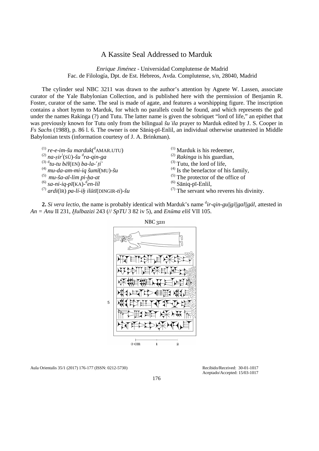## A Kassite Seal Addressed to Marduk

*Enrique Jiménez* - Universidad Complutense de Madrid Fac. de Filología, Dpt. de Est. Hebreos, Avda. Complutense, s/n, 28040, Madrid

The cylinder seal NBC 3211 was drawn to the author's attention by Agnete W. Lassen, associate curator of the Yale Babylonian Collection, and is published here with the permission of Benjamin R. Foster, curator of the same. The seal is made of agate, and features a worshipping figure. The inscription contains a short hymn to Marduk, for which no parallels could be found, and which represents the god under the names Rakinga (?) and Tutu. The latter name is given the sobriquet "lord of life," an epithet that was previously known for Tutu only from the bilingual *šuʾila* prayer to Marduk edited by J. S. Cooper in *Fs Sachs* (1988), p. 86 l. 6. The owner is one Sāniq-pī-Enlil, an individual otherwise unattested in Middle Babylonian texts (information courtesy of J. A. Brinkman).

(1) *re*-*e*-*im-šu marduk*( d AMAR.UTU)

(2) *na*-*ṣir*! (SÙ)*-šu* <sup>d</sup> *ra-qin-ga*

- $^{(3) d}$ tu-tu bēl(EN) ba-la-'ti
- (4) *mu-da-am-mi-iq šumī*(MU)*-šu*
- (5) *mu-ša-al-lim pi-ḫa-at*
- (6) *sa-ni-iq*-*pī*(KA)-<sup>d</sup> *en-líl*
- (7) *ardi*(ÌR) *pa-lí-iḫ ilūtī*(DINGIR-*ti*)-*šu*
- (1) Marduk is his redeemer,
- (2) *Rakinga* is his guardian,
- $^{(3)}$  Tutu, the lord of life,
- $^{(4)}$  Is the benefactor of his family,
- (5) The protector of the office of
- $^{(6)}$  Sāniq-pī-Enlil,
- (7) The servant who reveres his divinity.

2. *Si vera lectio*, the name is probably identical with Marduk's name  $\frac{d}{dr}$ -*qin-gu*||*gi*||*gal*||*gál*, attested in *An = Anu* II 231, *Ḫulbazizi* 243 (// *SpTU* 3 82 iv 5), and *Enūma eliš* VII 105.



Aula Orientalis 35/1 (2017) 176-177 (ISSN: 0212-5730) Recibido/Received: 30-01-1017

Aceptado/Accepted: 15/03-1017